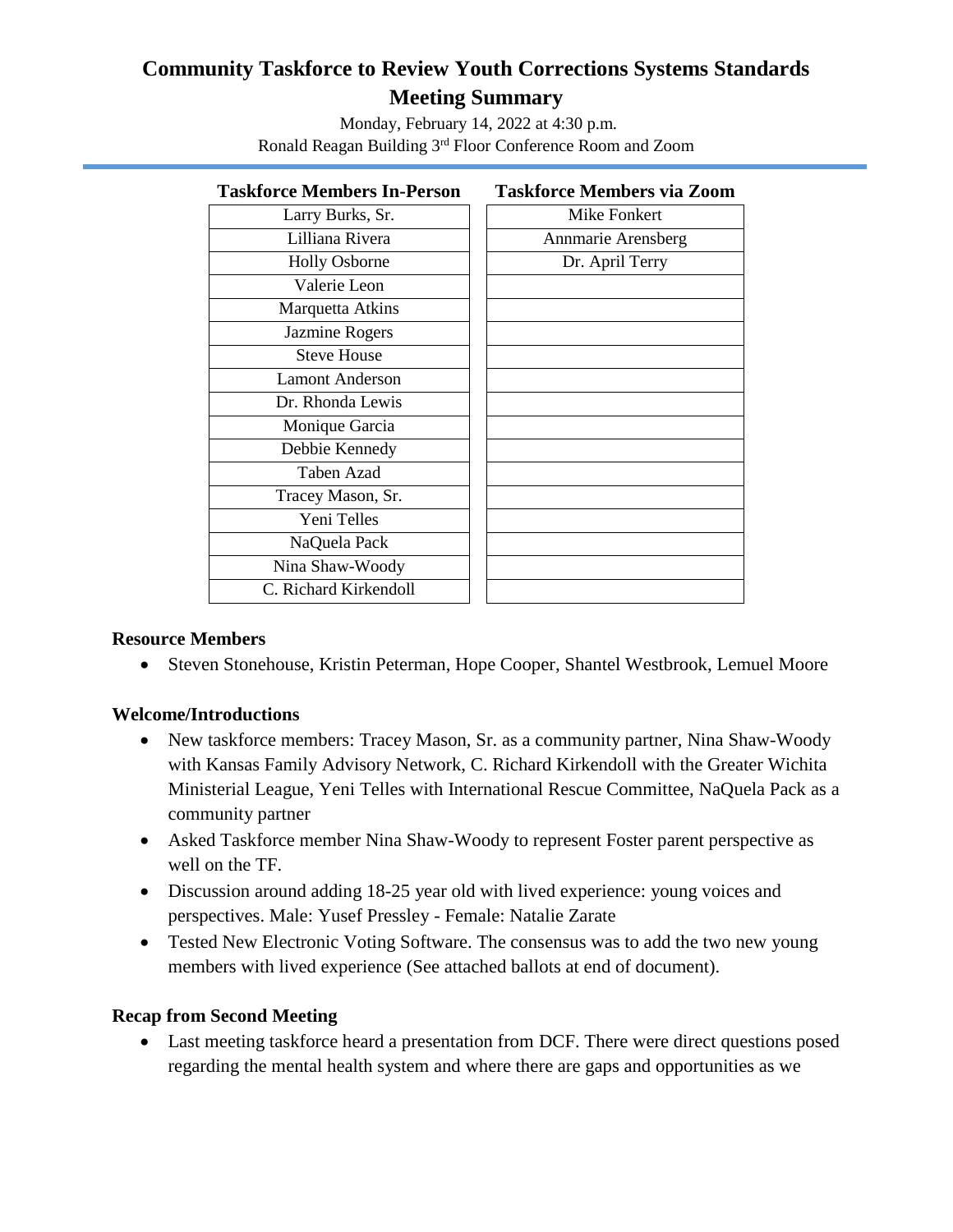## **Community Taskforce to Review Youth Corrections Systems Standards Meeting Summary**

Monday, February 14, 2022 at 4:30 p.m. Ronald Reagan Building 3rd Floor Conference Room and Zoom

### **Taskforce Members In-Person Taskforce Members via Zoom** Larry Burks, Sr. Mike Fonkert Lilliana Rivera  $\vert$  | Annmarie Arensberg Holly Osborne  $\vert \vert$  Dr. April Terry Valerie Leon Marquetta Atkins Jazmine Rogers Steve House Lamont Anderson Dr. Rhonda Lewis Monique Garcia Debbie Kennedy Taben Azad Tracey Mason, Sr. Yeni Telles NaQuela Pack Nina Shaw-Woody C. Richard Kirkendoll

#### **Resource Members**

Steven Stonehouse, Kristin Peterman, Hope Cooper, Shantel Westbrook, Lemuel Moore

#### **Welcome/Introductions**

- New taskforce members: Tracey Mason, Sr. as a community partner, Nina Shaw-Woody with Kansas Family Advisory Network, C. Richard Kirkendoll with the Greater Wichita Ministerial League, Yeni Telles with International Rescue Committee, NaQuela Pack as a community partner
- Asked Taskforce member Nina Shaw-Woody to represent Foster parent perspective as well on the TF.
- Discussion around adding 18-25 year old with lived experience: young voices and perspectives. Male: Yusef Pressley - Female: Natalie Zarate
- Tested New Electronic Voting Software. The consensus was to add the two new young members with lived experience (See attached ballots at end of document).

#### **Recap from Second Meeting**

 Last meeting taskforce heard a presentation from DCF. There were direct questions posed regarding the mental health system and where there are gaps and opportunities as we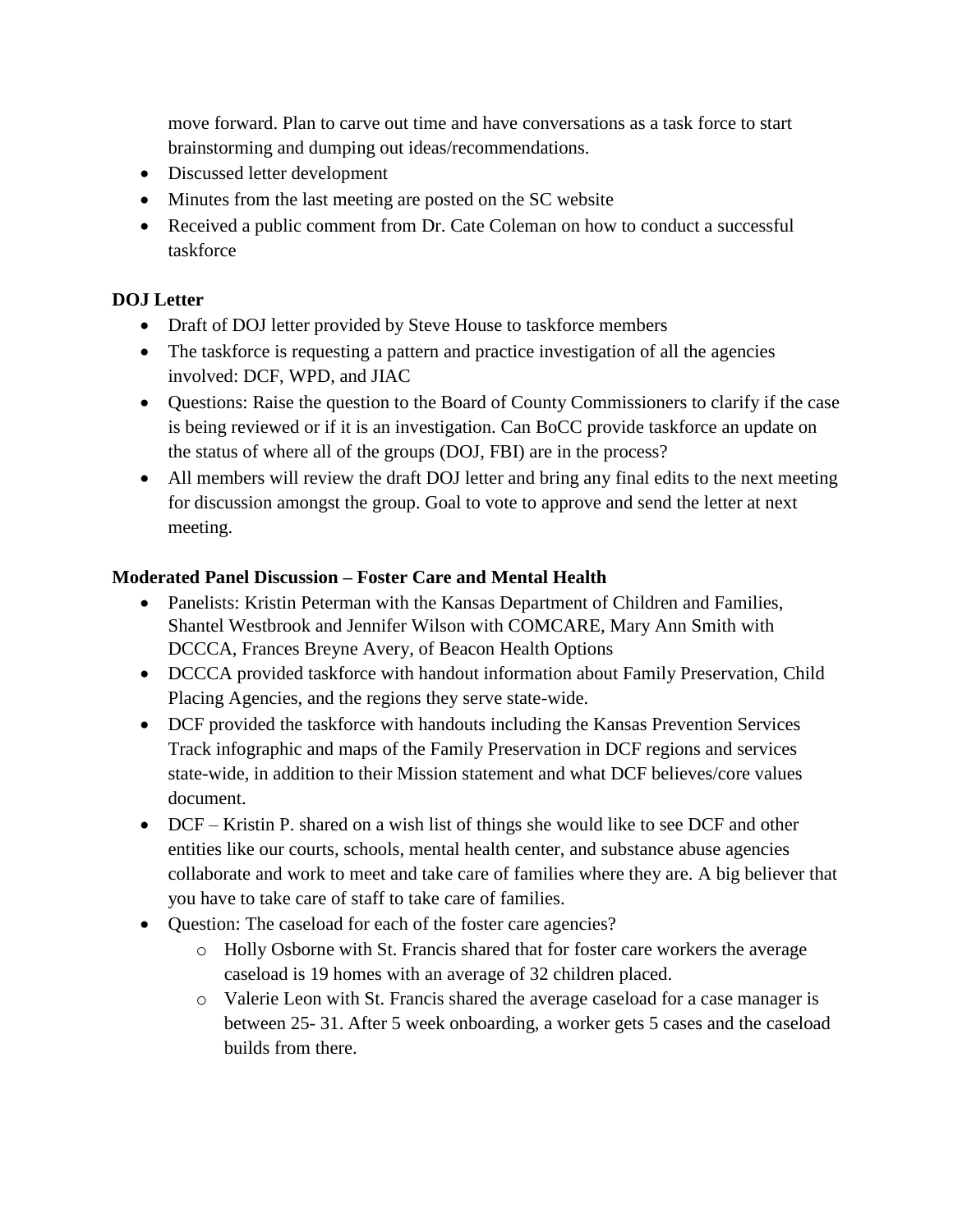move forward. Plan to carve out time and have conversations as a task force to start brainstorming and dumping out ideas/recommendations.

- Discussed letter development
- Minutes from the last meeting are posted on the SC website
- Received a public comment from Dr. Cate Coleman on how to conduct a successful taskforce

#### **DOJ Letter**

- Draft of DOJ letter provided by Steve House to taskforce members
- The taskforce is requesting a pattern and practice investigation of all the agencies involved: DCF, WPD, and JIAC
- Questions: Raise the question to the Board of County Commissioners to clarify if the case is being reviewed or if it is an investigation. Can BoCC provide taskforce an update on the status of where all of the groups (DOJ, FBI) are in the process?
- All members will review the draft DOJ letter and bring any final edits to the next meeting for discussion amongst the group. Goal to vote to approve and send the letter at next meeting.

#### **Moderated Panel Discussion – Foster Care and Mental Health**

- Panelists: Kristin Peterman with the Kansas Department of Children and Families, Shantel Westbrook and Jennifer Wilson with COMCARE, Mary Ann Smith with DCCCA, Frances Breyne Avery, of Beacon Health Options
- DCCCA provided taskforce with handout information about Family Preservation, Child Placing Agencies, and the regions they serve state-wide.
- DCF provided the taskforce with handouts including the Kansas Prevention Services Track infographic and maps of the Family Preservation in DCF regions and services state-wide, in addition to their Mission statement and what DCF believes/core values document.
- DCF Kristin P. shared on a wish list of things she would like to see DCF and other entities like our courts, schools, mental health center, and substance abuse agencies collaborate and work to meet and take care of families where they are. A big believer that you have to take care of staff to take care of families.
- Question: The caseload for each of the foster care agencies?
	- o Holly Osborne with St. Francis shared that for foster care workers the average caseload is 19 homes with an average of 32 children placed.
	- o Valerie Leon with St. Francis shared the average caseload for a case manager is between 25- 31. After 5 week onboarding, a worker gets 5 cases and the caseload builds from there.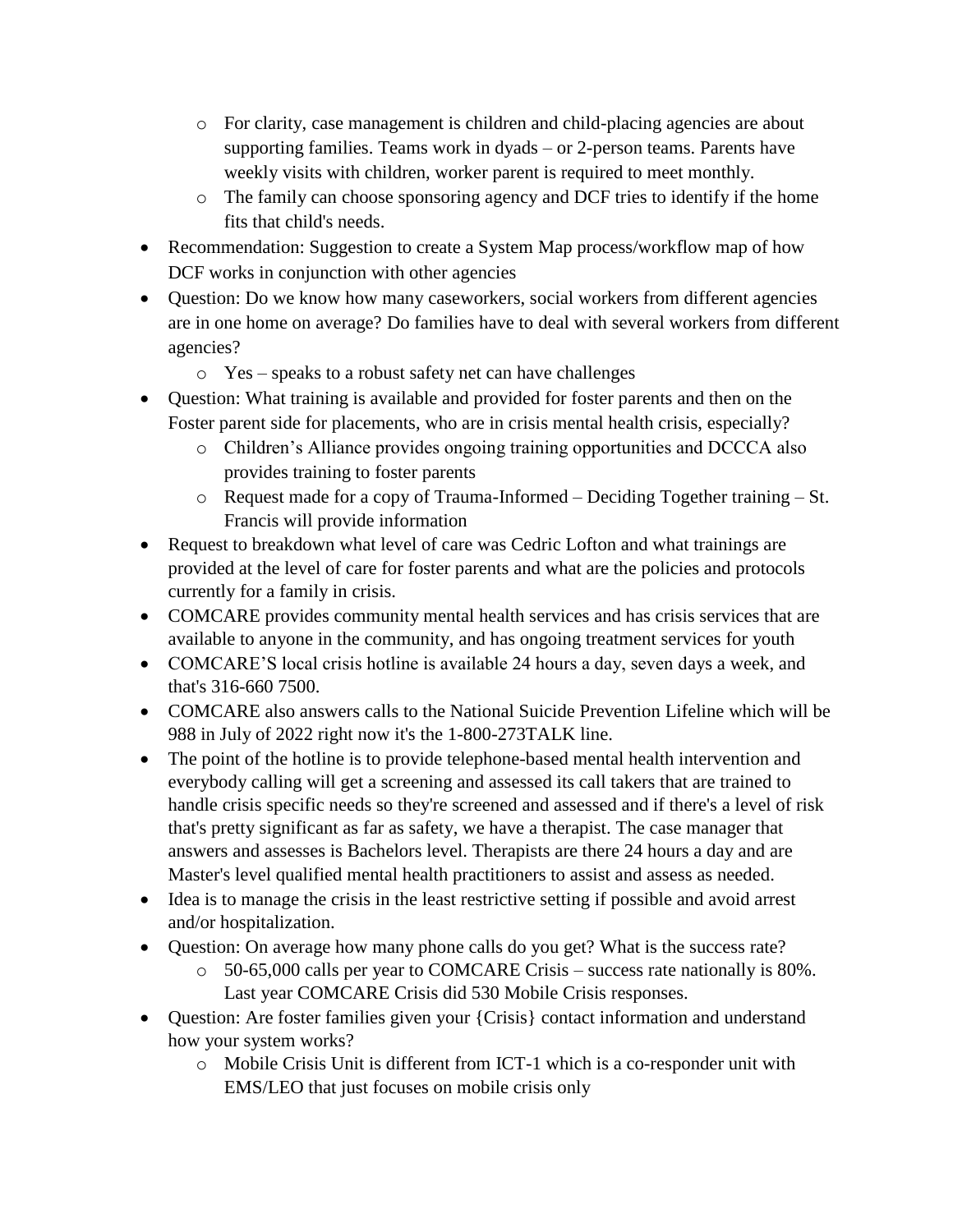- o For clarity, case management is children and child-placing agencies are about supporting families. Teams work in dyads – or 2-person teams. Parents have weekly visits with children, worker parent is required to meet monthly.
- o The family can choose sponsoring agency and DCF tries to identify if the home fits that child's needs.
- Recommendation: Suggestion to create a System Map process/workflow map of how DCF works in conjunction with other agencies
- Question: Do we know how many caseworkers, social workers from different agencies are in one home on average? Do families have to deal with several workers from different agencies?
	- o Yes speaks to a robust safety net can have challenges
- Question: What training is available and provided for foster parents and then on the Foster parent side for placements, who are in crisis mental health crisis, especially?
	- o Children's Alliance provides ongoing training opportunities and DCCCA also provides training to foster parents
	- o Request made for a copy of Trauma-Informed Deciding Together training St. Francis will provide information
- Request to breakdown what level of care was Cedric Lofton and what trainings are provided at the level of care for foster parents and what are the policies and protocols currently for a family in crisis.
- COMCARE provides community mental health services and has crisis services that are available to anyone in the community, and has ongoing treatment services for youth
- COMCARE'S local crisis hotline is available 24 hours a day, seven days a week, and that's 316-660 7500.
- COMCARE also answers calls to the National Suicide Prevention Lifeline which will be 988 in July of 2022 right now it's the 1-800-273TALK line.
- The point of the hotline is to provide telephone-based mental health intervention and everybody calling will get a screening and assessed its call takers that are trained to handle crisis specific needs so they're screened and assessed and if there's a level of risk that's pretty significant as far as safety, we have a therapist. The case manager that answers and assesses is Bachelors level. Therapists are there 24 hours a day and are Master's level qualified mental health practitioners to assist and assess as needed.
- Idea is to manage the crisis in the least restrictive setting if possible and avoid arrest and/or hospitalization.
- Question: On average how many phone calls do you get? What is the success rate?
	- o 50-65,000 calls per year to COMCARE Crisis success rate nationally is 80%. Last year COMCARE Crisis did 530 Mobile Crisis responses.
- Question: Are foster families given your {Crisis} contact information and understand how your system works?
	- $\circ$  Mobile Crisis Unit is different from ICT-1 which is a co-responder unit with EMS/LEO that just focuses on mobile crisis only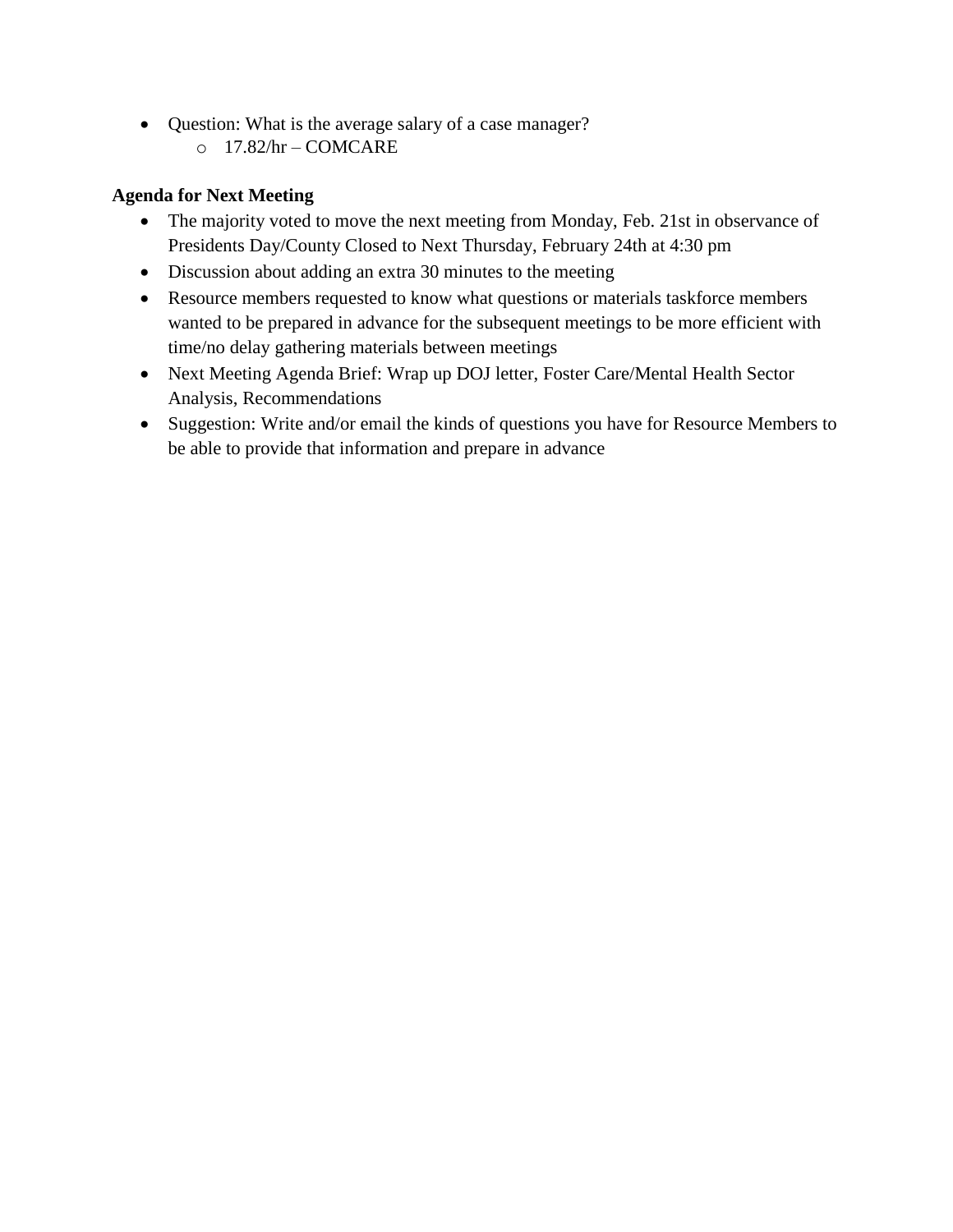- Question: What is the average salary of a case manager?
	- o 17.82/hr COMCARE

#### **Agenda for Next Meeting**

- The majority voted to move the next meeting from Monday, Feb. 21st in observance of Presidents Day/County Closed to Next Thursday, February 24th at 4:30 pm
- Discussion about adding an extra 30 minutes to the meeting
- Resource members requested to know what questions or materials taskforce members wanted to be prepared in advance for the subsequent meetings to be more efficient with time/no delay gathering materials between meetings
- Next Meeting Agenda Brief: Wrap up DOJ letter, Foster Care/Mental Health Sector Analysis, Recommendations
- Suggestion: Write and/or email the kinds of questions you have for Resource Members to be able to provide that information and prepare in advance